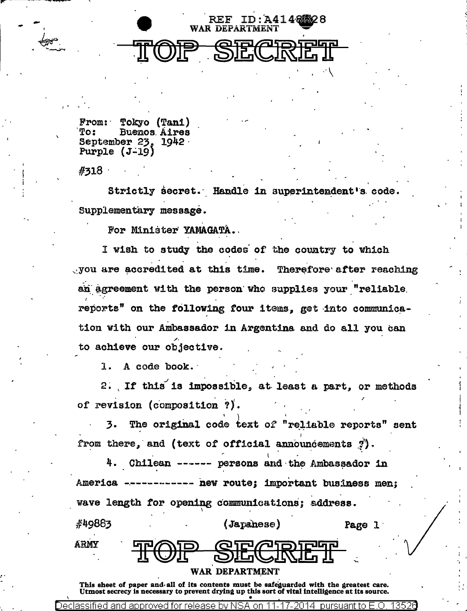

Tokyo (Tani)  $From:$ To: **Buenos Aires** September 23, 1942 Purple  $(J-19)$ 

 $#318$ 

Strictly secret. Handle in superintendent's code. Supplementary message.

For Minister YAMAGATA.

I wish to study the codes of the country to which you are accredited at this time. Therefore after reaching an agreement with the person who supplies your "reliable reports" on the following four items, get into communication with our Ambassador in Argentina and do all you can to achieve our objective.

1. A code book.

2. If this is impossible, at least a part, or methods of revision (composition ?).

The original code text of "reliable reports" sent 3. from there, and (text of official announcements ?).

4. Chilean ------ persons and the Ambassador in America . ---- new route; important business men; wave length for opening communications; address.

| 449883 |               | (Japanese)                             | Page 1 |  |
|--------|---------------|----------------------------------------|--------|--|
| RMY    | <b>AL WIL</b> | <b>FRAD QEADEFF</b><br><u>PEANTAIL</u> |        |  |
|        |               | WAR DEPARTMENT                         |        |  |

This sheet of paper and all of its contents must be safeguarded with the greatest care. Utmost secrecy is necessary to prevent drying up this sort of vital intelligence at its source.

Declassified and approved for release by N